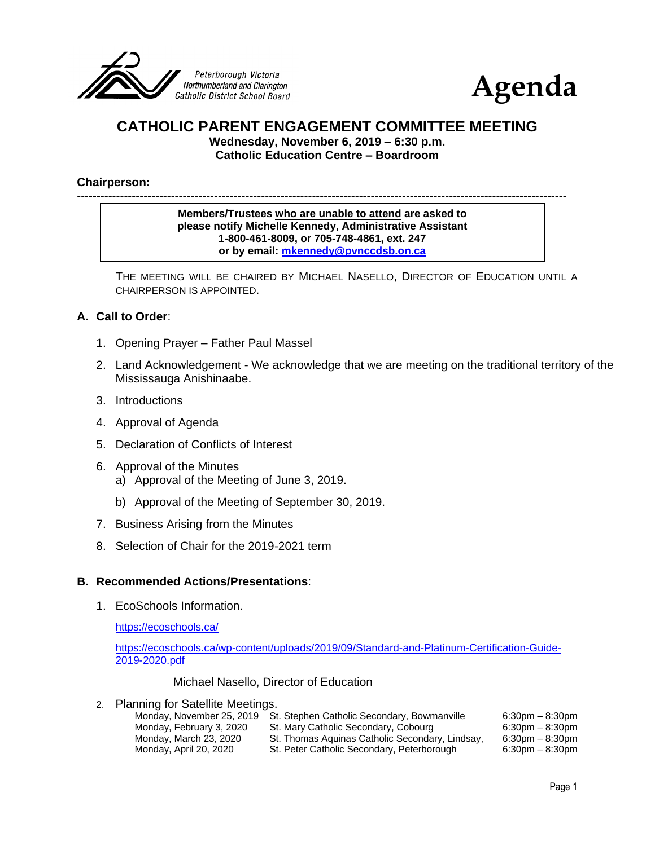



# **CATHOLIC PARENT ENGAGEMENT COMMITTEE MEETING**

**Wednesday, November 6, 2019 – 6:30 p.m. Catholic Education Centre – Boardroom**

#### **Chairperson:**

-----------------------------------------------------------------------------------------------------------------------------

**Members/Trustees who are unable to attend are asked to please notify Michelle Kennedy, Administrative Assistant 1-800-461-8009, or 705-748-4861, ext. 247 or by email: [mkennedy@pvnccdsb.on.ca](mailto:mkennedy@pvnccdsb.on.ca)**

THE MEETING WILL BE CHAIRED BY MICHAEL NASELLO, DIRECTOR OF EDUCATION UNTIL A CHAIRPERSON IS APPOINTED.

#### **A. Call to Order**:

- 1. Opening Prayer Father Paul Massel
- 2. Land Acknowledgement We acknowledge that we are meeting on the traditional territory of the Mississauga Anishinaabe.
- 3. Introductions
- 4. Approval of Agenda
- 5. Declaration of Conflicts of Interest
- 6. Approval of the Minutes a) Approval of the Meeting of June 3, 2019.
	- b) Approval of the Meeting of September 30, 2019.
- 7. Business Arising from the Minutes
- 8. Selection of Chair for the 2019-2021 term

#### **B. Recommended Actions/Presentations**:

1. EcoSchools Information.

<https://ecoschools.ca/>

[https://ecoschools.ca/wp-content/uploads/2019/09/Standard-and-Platinum-Certification-Guide-](https://ecoschools.ca/wp-content/uploads/2019/09/Standard-and-Platinum-Certification-Guide-2019-2020.pdf)[2019-2020.pdf](https://ecoschools.ca/wp-content/uploads/2019/09/Standard-and-Platinum-Certification-Guide-2019-2020.pdf)

Michael Nasello, Director of Education

|  | $\sim$<br>z. |  |  |  | <b>Planning for Satellite Meetings.</b> |
|--|--------------|--|--|--|-----------------------------------------|
|--|--------------|--|--|--|-----------------------------------------|

| Monday, November 25, 2019 | St. Stephen Catholic Secondary, Bowmanville     | $6:30$ pm $-8:30$ pm |
|---------------------------|-------------------------------------------------|----------------------|
| Monday, February 3, 2020  | St. Mary Catholic Secondary, Cobourg            | $6:30$ pm $-8:30$ pm |
| Monday, March 23, 2020    | St. Thomas Aguinas Catholic Secondary, Lindsay, | $6:30$ pm $-8:30$ pm |
| Monday, April 20, 2020    | St. Peter Catholic Secondary, Peterborough      | $6:30$ pm $-8:30$ pm |